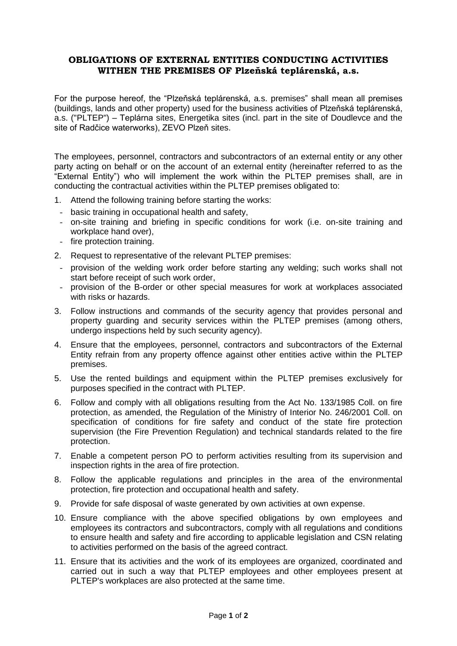## **OBLIGATIONS OF EXTERNAL ENTITIES CONDUCTING ACTIVITIES WITHEN THE PREMISES OF Plzeňská teplárenská, a.s.**

For the purpose hereof, the "Plzeňská teplárenská, a.s. premises" shall mean all premises (buildings, lands and other property) used for the business activities of Plzeňská teplárenská, a.s. ("PLTEP") – Teplárna sites, Energetika sites (incl. part in the site of Doudlevce and the site of Radčice waterworks), ZEVO Plzeň sites.

The employees, personnel, contractors and subcontractors of an external entity or any other party acting on behalf or on the account of an external entity (hereinafter referred to as the "External Entity") who will implement the work within the PLTEP premises shall, are in conducting the contractual activities within the PLTEP premises obligated to:

- 1. Attend the following training before starting the works:
- basic training in occupational health and safety,
- on-site training and briefing in specific conditions for work (i.e. on-site training and workplace hand over),
- fire protection training.
- 2. Request to representative of the relevant PLTEP premises:
- provision of the welding work order before starting any welding; such works shall not start before receipt of such work order,
- provision of the B-order or other special measures for work at workplaces associated with risks or hazards.
- 3. Follow instructions and commands of the security agency that provides personal and property guarding and security services within the PLTEP premises (among others, undergo inspections held by such security agency).
- 4. Ensure that the employees, personnel, contractors and subcontractors of the External Entity refrain from any property offence against other entities active within the PLTEP premises.
- 5. Use the rented buildings and equipment within the PLTEP premises exclusively for purposes specified in the contract with PLTEP.
- 6. Follow and comply with all obligations resulting from the Act No. 133/1985 Coll. on fire protection, as amended, the Regulation of the Ministry of Interior No. 246/2001 Coll. on specification of conditions for fire safety and conduct of the state fire protection supervision (the Fire Prevention Regulation) and technical standards related to the fire protection.
- 7. Enable a competent person PO to perform activities resulting from its supervision and inspection rights in the area of fire protection.
- 8. Follow the applicable regulations and principles in the area of the environmental protection, fire protection and occupational health and safety.
- 9. Provide for safe disposal of waste generated by own activities at own expense.
- 10. Ensure compliance with the above specified obligations by own employees and employees its contractors and subcontractors, comply with all regulations and conditions to ensure health and safety and fire according to applicable legislation and CSN relating to activities performed on the basis of the agreed contract.
- 11. Ensure that its activities and the work of its employees are organized, coordinated and carried out in such a way that PLTEP employees and other employees present at PLTEP's workplaces are also protected at the same time.